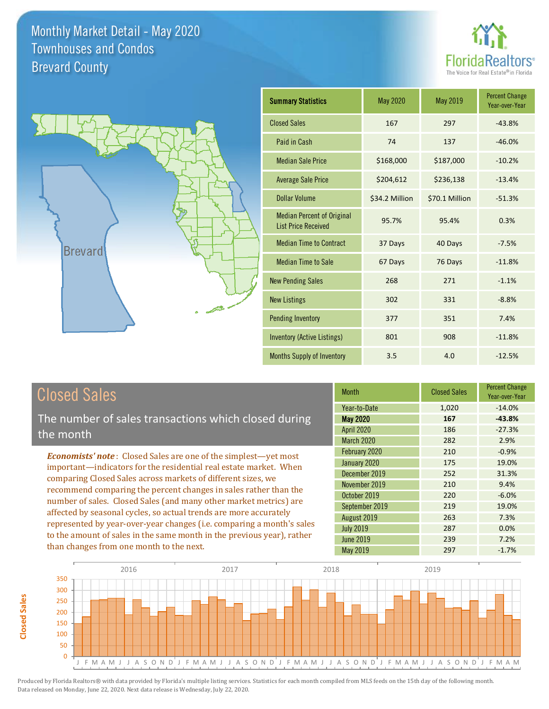



| <b>Summary Statistics</b>                                       | <b>May 2020</b> | <b>May 2019</b> | <b>Percent Change</b><br>Year-over-Year |
|-----------------------------------------------------------------|-----------------|-----------------|-----------------------------------------|
| <b>Closed Sales</b>                                             | 167             | 297             | $-43.8%$                                |
| Paid in Cash                                                    | 74              | 137             | $-46.0%$                                |
| <b>Median Sale Price</b>                                        | \$168,000       | \$187,000       | $-10.2%$                                |
| <b>Average Sale Price</b>                                       | \$204,612       | \$236,138       | $-13.4%$                                |
| Dollar Volume                                                   | \$34.2 Million  | \$70.1 Million  | $-51.3%$                                |
| <b>Median Percent of Original</b><br><b>List Price Received</b> | 95.7%           | 95.4%           | 0.3%                                    |
| <b>Median Time to Contract</b>                                  | 37 Days         | 40 Days         | $-7.5%$                                 |
| <b>Median Time to Sale</b>                                      | 67 Days         | 76 Days         | $-11.8%$                                |
| <b>New Pending Sales</b>                                        | 268             | 271             | $-1.1%$                                 |
| <b>New Listings</b>                                             | 302             | 331             | $-8.8%$                                 |
| <b>Pending Inventory</b>                                        | 377             | 351             | 7.4%                                    |
| <b>Inventory (Active Listings)</b>                              | 801             | 908             | $-11.8%$                                |
| Months Supply of Inventory                                      | 3.5             | 4.0             | $-12.5%$                                |

## Closed Sales

The number of sales transactions which closed during the month

*Economists' note* : Closed Sales are one of the simplest—yet most important—indicators for the residential real estate market. When comparing Closed Sales across markets of different sizes, we recommend comparing the percent changes in sales rather than the number of sales. Closed Sales (and many other market metrics) are affected by seasonal cycles, so actual trends are more accurately represented by year-over-year changes (i.e. comparing a month's sales to the amount of sales in the same month in the previous year), rather than changes from one month to the next.

| <b>Month</b>      | <b>Closed Sales</b> | <b>Percent Change</b><br>Year-over-Year |
|-------------------|---------------------|-----------------------------------------|
| Year-to-Date      | 1,020               | $-14.0%$                                |
| <b>May 2020</b>   | 167                 | $-43.8%$                                |
| <b>April 2020</b> | 186                 | $-27.3%$                                |
| March 2020        | 282                 | 2.9%                                    |
| February 2020     | 210                 | $-0.9%$                                 |
| January 2020      | 175                 | 19.0%                                   |
| December 2019     | 252                 | 31.3%                                   |
| November 2019     | 210                 | 9.4%                                    |
| October 2019      | 220                 | $-6.0%$                                 |
| September 2019    | 219                 | 19.0%                                   |
| August 2019       | 263                 | 7.3%                                    |
| <b>July 2019</b>  | 287                 | 0.0%                                    |
| <b>June 2019</b>  | 239                 | 7.2%                                    |
| <b>May 2019</b>   | 297                 | $-1.7%$                                 |

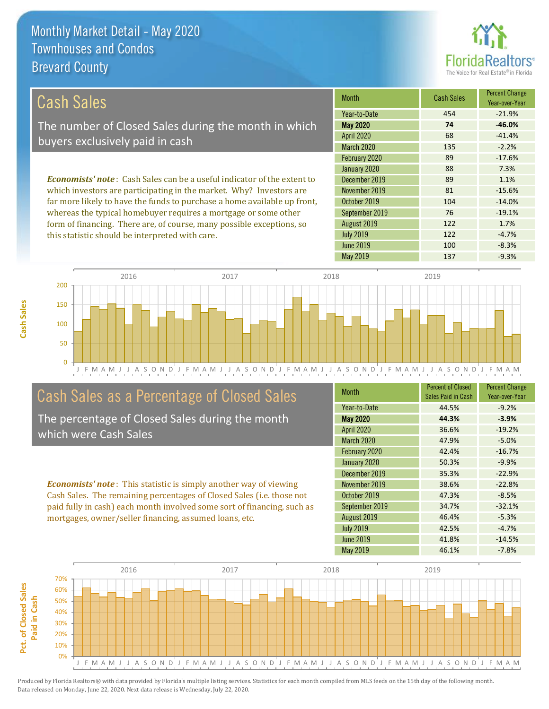

122 -4.7%

122 1.7%

| Cash Sales                                                                     | <b>Month</b>      | <b>Cash Sales</b> | <b>Percent Change</b><br>Year-over-Year |
|--------------------------------------------------------------------------------|-------------------|-------------------|-----------------------------------------|
|                                                                                | Year-to-Date      | 454               | $-21.9%$                                |
| The number of Closed Sales during the month in which                           | <b>May 2020</b>   | 74                | $-46.0%$                                |
| buyers exclusively paid in cash                                                | <b>April 2020</b> | 68                | $-41.4%$                                |
|                                                                                | <b>March 2020</b> | 135               | $-2.2%$                                 |
|                                                                                | February 2020     | 89                | $-17.6%$                                |
|                                                                                | January 2020      | 88                | 7.3%                                    |
| <b>Economists' note:</b> Cash Sales can be a useful indicator of the extent to | December 2019     | 89                | 1.1%                                    |
| which investors are participating in the market. Why? Investors are            | November 2019     | 81                | $-15.6%$                                |
| far more likely to have the funds to purchase a home available up front,       | October 2019      | 104               | $-14.0\%$                               |
| whereas the typical homebuyer requires a mortgage or some other                | September 2019    | 76                | $-19.1%$                                |

August 2019

July 2019

J F M A M J J A S O N D J F M A M J J A S O N D J F M A M J J A S O N D J F M A M J J A S O N D J F M A M 0 50 100 150 200 2016 2017 2017 2018 2019 2019

# Cash Sales as a Percentage of Closed Sales

form of financing. There are, of course, many possible exceptions, so

this statistic should be interpreted with care.

The percentage of Closed Sales during the month which were Cash Sales

*Economists' note* : This statistic is simply another way of viewing Cash Sales. The remaining percentages of Closed Sales (i.e. those not paid fully in cash) each month involved some sort of financing, such as mortgages, owner/seller financing, assumed loans, etc.

| <b>Month</b>      | <b>Percent of Closed</b><br>Sales Paid in Cash | <b>Percent Change</b><br>Year-over-Year |
|-------------------|------------------------------------------------|-----------------------------------------|
| Year-to-Date      | 44.5%                                          | $-9.2%$                                 |
| <b>May 2020</b>   | 44.3%                                          | $-3.9%$                                 |
| <b>April 2020</b> | 36.6%                                          | $-19.2%$                                |
| March 2020        | 47.9%                                          | $-5.0%$                                 |
| February 2020     | 42.4%                                          | $-16.7%$                                |
| January 2020      | 50.3%                                          | $-9.9%$                                 |
| December 2019     | 35.3%                                          | $-22.9%$                                |
| November 2019     | 38.6%                                          | $-22.8%$                                |
| October 2019      | 47.3%                                          | $-8.5%$                                 |
| September 2019    | 34.7%                                          | $-32.1%$                                |
| August 2019       | 46.4%                                          | $-5.3%$                                 |
| <b>July 2019</b>  | 42.5%                                          | $-4.7%$                                 |
| <b>June 2019</b>  | 41.8%                                          | $-14.5%$                                |
| May 2019          | 46.1%                                          | $-7.8%$                                 |

June 2019 **100** -8.3%

May 2019 137 29.3%

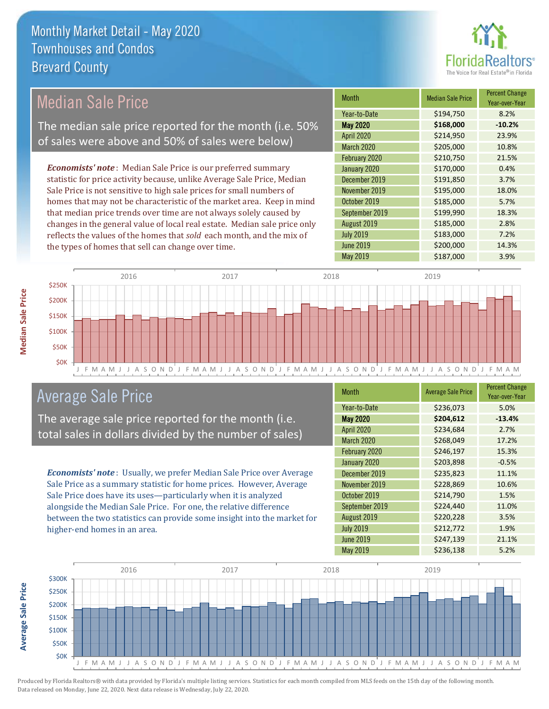

# Median Sale Price

The median sale price reported for the month (i.e. 50% of sales were above and 50% of sales were below)

*Economists' note* : Median Sale Price is our preferred summary statistic for price activity because, unlike Average Sale Price, Median Sale Price is not sensitive to high sale prices for small numbers of homes that may not be characteristic of the market area. Keep in mind that median price trends over time are not always solely caused by changes in the general value of local real estate. Median sale price only reflects the values of the homes that *sold* each month, and the mix of the types of homes that sell can change over time.

| <b>Month</b>     | <b>Median Sale Price</b> | <b>Percent Change</b><br>Year-over-Year |
|------------------|--------------------------|-----------------------------------------|
| Year-to-Date     | \$194,750                | 8.2%                                    |
| <b>May 2020</b>  | \$168,000                | $-10.2%$                                |
| April 2020       | \$214,950                | 23.9%                                   |
| March 2020       | \$205,000                | 10.8%                                   |
| February 2020    | \$210,750                | 21.5%                                   |
| January 2020     | \$170,000                | 0.4%                                    |
| December 2019    | \$191,850                | 3.7%                                    |
| November 2019    | \$195,000                | 18.0%                                   |
| October 2019     | \$185,000                | 5.7%                                    |
| September 2019   | \$199,990                | 18.3%                                   |
| August 2019      | \$185,000                | 2.8%                                    |
| <b>July 2019</b> | \$183,000                | 7.2%                                    |
| <b>June 2019</b> | \$200,000                | 14.3%                                   |
| May 2019         | \$187,000                | 3.9%                                    |



## Average Sale Price

The average sale price reported for the month (i.e. total sales in dollars divided by the number of sales)

*Economists' note* : Usually, we prefer Median Sale Price over Average Sale Price as a summary statistic for home prices. However, Average Sale Price does have its uses—particularly when it is analyzed alongside the Median Sale Price. For one, the relative difference between the two statistics can provide some insight into the market for higher-end homes in an area.

| Month             | <b>Average Sale Price</b> | <b>Percent Change</b><br>Year-over-Year |
|-------------------|---------------------------|-----------------------------------------|
| Year-to-Date      | \$236,073                 | 5.0%                                    |
| <b>May 2020</b>   | \$204,612                 | $-13.4%$                                |
| April 2020        | \$234,684                 | 2.7%                                    |
| <b>March 2020</b> | \$268,049                 | 17.2%                                   |
| February 2020     | \$246,197                 | 15.3%                                   |
| January 2020      | \$203,898                 | $-0.5%$                                 |
| December 2019     | \$235,823                 | 11.1%                                   |
| November 2019     | \$228,869                 | 10.6%                                   |
| October 2019      | \$214,790                 | 1.5%                                    |
| September 2019    | \$224,440                 | 11.0%                                   |
| August 2019       | \$220,228                 | 3.5%                                    |
| <b>July 2019</b>  | \$212,772                 | 1.9%                                    |
| <b>June 2019</b>  | \$247,139                 | 21.1%                                   |
| <b>May 2019</b>   | \$236,138                 | 5.2%                                    |

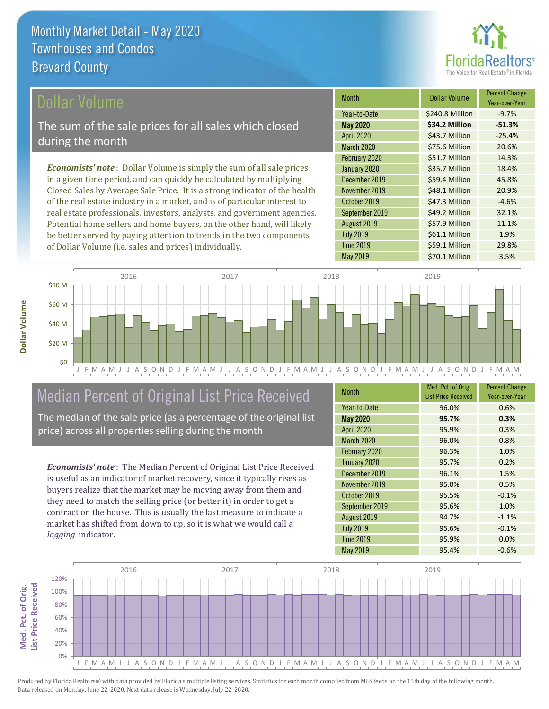

## ollar Volume

The sum of the sale prices for all sales which closed during the month

*Economists' note* : Dollar Volume is simply the sum of all sale prices in a given time period, and can quickly be calculated by multiplying Closed Sales by Average Sale Price. It is a strong indicator of the health of the real estate industry in a market, and is of particular interest to real estate professionals, investors, analysts, and government agencies. Potential home sellers and home buyers, on the other hand, will likely be better served by paying attention to trends in the two components of Dollar Volume (i.e. sales and prices) individually.

| <b>Month</b>     | Dollar Volume   | <b>Percent Change</b><br>Year-over-Year |
|------------------|-----------------|-----------------------------------------|
| Year-to-Date     | \$240.8 Million | $-9.7%$                                 |
| <b>May 2020</b>  | \$34.2 Million  | $-51.3%$                                |
| April 2020       | \$43.7 Million  | $-25.4%$                                |
| March 2020       | \$75.6 Million  | 20.6%                                   |
| February 2020    | \$51.7 Million  | 14.3%                                   |
| January 2020     | \$35.7 Million  | 18.4%                                   |
| December 2019    | \$59.4 Million  | 45.8%                                   |
| November 2019    | \$48.1 Million  | 20.9%                                   |
| October 2019     | \$47.3 Million  | $-4.6%$                                 |
| September 2019   | \$49.2 Million  | 32.1%                                   |
| August 2019      | \$57.9 Million  | 11.1%                                   |
| <b>July 2019</b> | \$61.1 Million  | 1.9%                                    |
| <b>June 2019</b> | \$59.1 Million  | 29.8%                                   |
| <b>May 2019</b>  | \$70.1 Million  | 3.5%                                    |



# Median Percent of Original List Price Received

The median of the sale price (as a percentage of the original list price) across all properties selling during the month

*Economists' note* : The Median Percent of Original List Price Received is useful as an indicator of market recovery, since it typically rises as buyers realize that the market may be moving away from them and they need to match the selling price (or better it) in order to get a contract on the house. This is usually the last measure to indicate a market has shifted from down to up, so it is what we would call a *lagging* indicator.

| <b>Month</b>      | Med. Pct. of Orig.<br><b>List Price Received</b> | <b>Percent Change</b><br>Year-over-Year |
|-------------------|--------------------------------------------------|-----------------------------------------|
| Year-to-Date      | 96.0%                                            | 0.6%                                    |
| <b>May 2020</b>   | 95.7%                                            | 0.3%                                    |
| <b>April 2020</b> | 95.9%                                            | 0.3%                                    |
| <b>March 2020</b> | 96.0%                                            | 0.8%                                    |
| February 2020     | 96.3%                                            | 1.0%                                    |
| January 2020      | 95.7%                                            | 0.2%                                    |
| December 2019     | 96.1%                                            | 1.5%                                    |
| November 2019     | 95.0%                                            | 0.5%                                    |
| October 2019      | 95.5%                                            | $-0.1%$                                 |
| September 2019    | 95.6%                                            | 1.0%                                    |
| August 2019       | 94.7%                                            | $-1.1%$                                 |
| <b>July 2019</b>  | 95.6%                                            | $-0.1%$                                 |
| <b>June 2019</b>  | 95.9%                                            | 0.0%                                    |
| <b>May 2019</b>   | 95.4%                                            | $-0.6%$                                 |

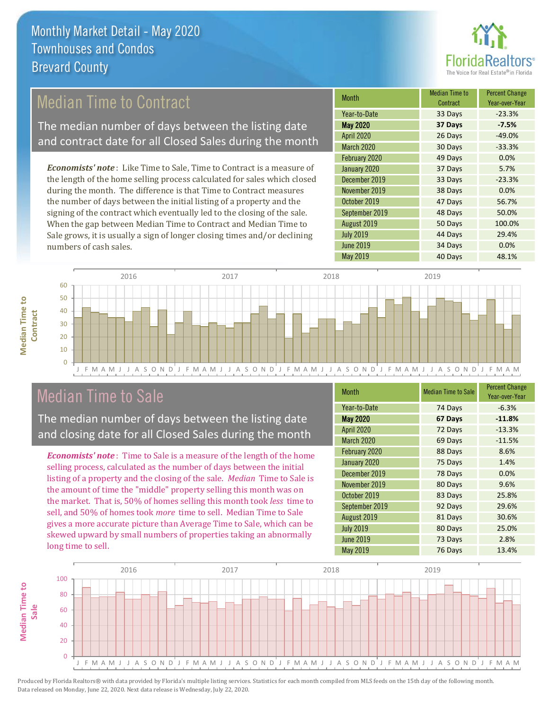

## Median Time to Contract

The median number of days between the listing date and contract date for all Closed Sales during the month

*Economists' note* : Like Time to Sale, Time to Contract is a measure of the length of the home selling process calculated for sales which closed during the month. The difference is that Time to Contract measures the number of days between the initial listing of a property and the signing of the contract which eventually led to the closing of the sale. When the gap between Median Time to Contract and Median Time to Sale grows, it is usually a sign of longer closing times and/or declining numbers of cash sales.

| <b>Month</b>      | <b>Median Time to</b><br>Contract | <b>Percent Change</b><br>Year-over-Year |
|-------------------|-----------------------------------|-----------------------------------------|
| Year-to-Date      | 33 Days                           | $-23.3%$                                |
| <b>May 2020</b>   | 37 Days                           | $-7.5%$                                 |
| <b>April 2020</b> | 26 Days                           | $-49.0%$                                |
| March 2020        | 30 Days                           | $-33.3%$                                |
| February 2020     | 49 Days                           | 0.0%                                    |
| January 2020      | 37 Days                           | 5.7%                                    |
| December 2019     | 33 Days                           | $-23.3%$                                |
| November 2019     | 38 Days                           | 0.0%                                    |
| October 2019      | 47 Days                           | 56.7%                                   |
| September 2019    | 48 Days                           | 50.0%                                   |
| August 2019       | 50 Days                           | 100.0%                                  |
| <b>July 2019</b>  | 44 Days                           | 29.4%                                   |
| <b>June 2019</b>  | 34 Days                           | 0.0%                                    |
| May 2019          | 40 Days                           | 48.1%                                   |



## Median Time to Sale

**Median Time to Contract**

**Median Time to** 

The median number of days between the listing date and closing date for all Closed Sales during the month

*Economists' note* : Time to Sale is a measure of the length of the home selling process, calculated as the number of days between the initial listing of a property and the closing of the sale. *Median* Time to Sale is the amount of time the "middle" property selling this month was on the market. That is, 50% of homes selling this month took *less* time to sell, and 50% of homes took *more* time to sell. Median Time to Sale gives a more accurate picture than Average Time to Sale, which can be skewed upward by small numbers of properties taking an abnormally long time to sell.

| <b>Month</b>      | <b>Median Time to Sale</b> | <b>Percent Change</b><br>Year-over-Year |
|-------------------|----------------------------|-----------------------------------------|
| Year-to-Date      | 74 Days                    | $-6.3%$                                 |
| <b>May 2020</b>   | 67 Days                    | $-11.8%$                                |
| April 2020        | 72 Days                    | $-13.3%$                                |
| <b>March 2020</b> | 69 Days                    | $-11.5%$                                |
| February 2020     | 88 Days                    | 8.6%                                    |
| January 2020      | 75 Days                    | 1.4%                                    |
| December 2019     | 78 Days                    | 0.0%                                    |
| November 2019     | 80 Days                    | 9.6%                                    |
| October 2019      | 83 Days                    | 25.8%                                   |
| September 2019    | 92 Days                    | 29.6%                                   |
| August 2019       | 81 Days                    | 30.6%                                   |
| <b>July 2019</b>  | 80 Days                    | 25.0%                                   |
| <b>June 2019</b>  | 73 Days                    | 2.8%                                    |
| May 2019          | 76 Days                    | 13.4%                                   |

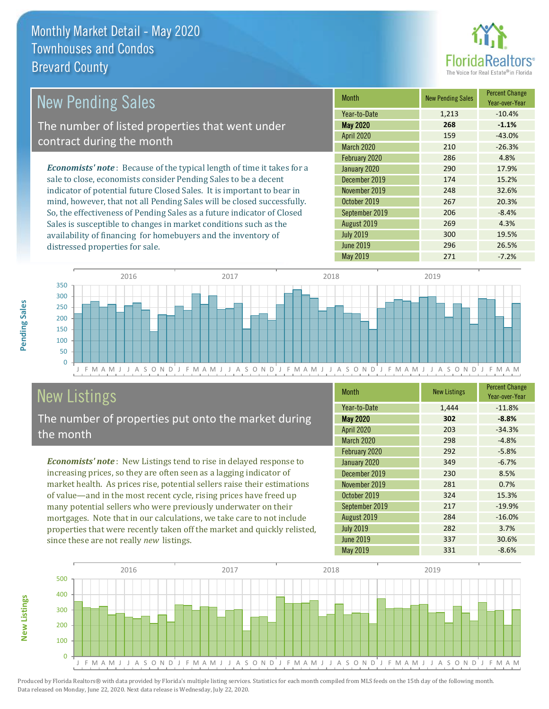distressed properties for sale.



| <b>New Pending Sales</b>                                                       | <b>Month</b>    | <b>New Pending Sales</b> | <b>Percent Change</b><br>Year-over-Year |
|--------------------------------------------------------------------------------|-----------------|--------------------------|-----------------------------------------|
|                                                                                | Year-to-Date    | 1.213                    | $-10.4%$                                |
| The number of listed properties that went under                                | <b>May 2020</b> | 268                      | $-1.1%$                                 |
| contract during the month                                                      | April 2020      | 159                      | $-43.0%$                                |
|                                                                                | March 2020      | 210                      | $-26.3%$                                |
|                                                                                | February 2020   | 286                      | 4.8%                                    |
| <b>Economists' note</b> : Because of the typical length of time it takes for a | January 2020    | 290                      | 17.9%                                   |
| sale to close, economists consider Pending Sales to be a decent                | December 2019   | 174                      | 15.2%                                   |
| indicator of potential future Closed Sales. It is important to bear in         | November 2019   | 248                      | 32.6%                                   |
| mind, however, that not all Pending Sales will be closed successfully.         | October 2019    | 267                      | 20.3%                                   |
| So, the effectiveness of Pending Sales as a future indicator of Closed         | September 2019  | 206                      | $-8.4%$                                 |

J F M A M J J A S O N D J F M A M J J A S O N D J F M A M J J A S O N D J F M A M J J A S O N D J F M A M  $\Omega$ 50 100 150 200 250 300 350 2016 2017 2017 2018 2019 2019

# New Listings

The number of properties put onto the market during the month

Sales is susceptible to changes in market conditions such as the availability of financing for homebuyers and the inventory of

*Economists' note* : New Listings tend to rise in delayed response to increasing prices, so they are often seen as a lagging indicator of market health. As prices rise, potential sellers raise their estimations of value—and in the most recent cycle, rising prices have freed up many potential sellers who were previously underwater on their mortgages. Note that in our calculations, we take care to not include properties that were recently taken off the market and quickly relisted, since these are not really *new* listings.

| <b>Month</b>      | <b>New Listings</b> | <b>Percent Change</b><br>Year-over-Year |
|-------------------|---------------------|-----------------------------------------|
| Year-to-Date      | 1,444               | $-11.8%$                                |
| <b>May 2020</b>   | 302                 | $-8.8%$                                 |
| <b>April 2020</b> | 203                 | $-34.3%$                                |
| <b>March 2020</b> | 298                 | $-4.8%$                                 |
| February 2020     | 292                 | $-5.8%$                                 |
| January 2020      | 349                 | $-6.7%$                                 |
| December 2019     | 230                 | 8.5%                                    |
| November 2019     | 281                 | 0.7%                                    |
| October 2019      | 324                 | 15.3%                                   |
| September 2019    | 217                 | $-19.9%$                                |
| August 2019       | 284                 | $-16.0%$                                |
| <b>July 2019</b>  | 282                 | 3.7%                                    |
| <b>June 2019</b>  | 337                 | 30.6%                                   |
| May 2019          | 331                 | $-8.6%$                                 |

May 2019 271 -7.2%

July 2019 **300** 19.5% June 2019 296 26.5%

August 2019 **269** 269 4.3%



Produced by Florida Realtors® with data provided by Florida's multiple listing services. Statistics for each month compiled from MLS feeds on the 15th day of the following month. Data released on Monday, June 22, 2020. Next data release is Wednesday, July 22, 2020.

**New Listings**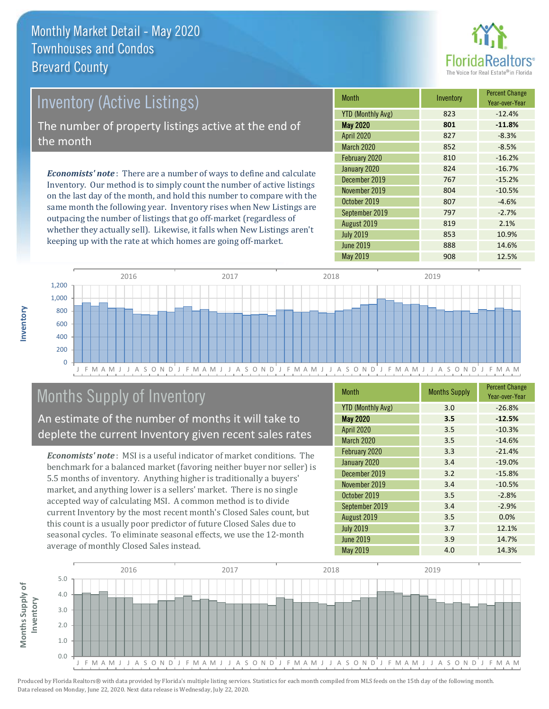

# Inventory (Active Listings) The number of property listings active at the end of the month

*Economists' note* : There are a number of ways to define and calculate Inventory. Our method is to simply count the number of active listings on the last day of the month, and hold this number to compare with the same month the following year. Inventory rises when New Listings are outpacing the number of listings that go off-market (regardless of whether they actually sell). Likewise, it falls when New Listings aren't keeping up with the rate at which homes are going off-market.

| <b>Month</b>             |  | Inventory | <b>Percent Change</b><br>Year-over-Year |
|--------------------------|--|-----------|-----------------------------------------|
| <b>YTD (Monthly Avg)</b> |  | 823       | $-12.4%$                                |
| <b>May 2020</b>          |  | 801       | $-11.8%$                                |
| <b>April 2020</b>        |  | 827       | $-8.3%$                                 |
| <b>March 2020</b>        |  | 852       | $-8.5%$                                 |
| February 2020            |  | 810       | $-16.2%$                                |
| January 2020             |  | 824       | $-16.7%$                                |
| December 2019            |  | 767       | $-15.2%$                                |
| November 2019            |  | 804       | $-10.5%$                                |
| October 2019             |  | 807       | $-4.6%$                                 |
| September 2019           |  | 797       | $-2.7%$                                 |
| August 2019              |  | 819       | 2.1%                                    |
| <b>July 2019</b>         |  | 853       | 10.9%                                   |
| <b>June 2019</b>         |  | 888       | 14.6%                                   |
| May 2019                 |  | 908       | 12.5%                                   |



## Months Supply of Inventory

An estimate of the number of months it will take to deplete the current Inventory given recent sales rates

*Economists' note* : MSI is a useful indicator of market conditions. The benchmark for a balanced market (favoring neither buyer nor seller) is 5.5 months of inventory. Anything higher is traditionally a buyers' market, and anything lower is a sellers' market. There is no single accepted way of calculating MSI. A common method is to divide current Inventory by the most recent month's Closed Sales count, but this count is a usually poor predictor of future Closed Sales due to seasonal cycles. To eliminate seasonal effects, we use the 12-month average of monthly Closed Sales instead.

| <b>Month</b>             | <b>Months Supply</b> | <b>Percent Change</b><br>Year-over-Year |
|--------------------------|----------------------|-----------------------------------------|
| <b>YTD (Monthly Avg)</b> | 3.0                  | $-26.8%$                                |
| <b>May 2020</b>          | 3.5                  | $-12.5%$                                |
| <b>April 2020</b>        | 3.5                  | $-10.3%$                                |
| March 2020               | 3.5                  | $-14.6%$                                |
| February 2020            | 3.3                  | $-21.4%$                                |
| January 2020             | 3.4                  | $-19.0%$                                |
| December 2019            | 3.2                  | $-15.8%$                                |
| November 2019            | 3.4                  | $-10.5%$                                |
| October 2019             | 3.5                  | $-2.8%$                                 |
| September 2019           | 3.4                  | $-2.9%$                                 |
| August 2019              | 3.5                  | 0.0%                                    |
| <b>July 2019</b>         | 3.7                  | 12.1%                                   |
| <b>June 2019</b>         | 3.9                  | 14.7%                                   |
| May 2019                 | 4.0                  | 14.3%                                   |

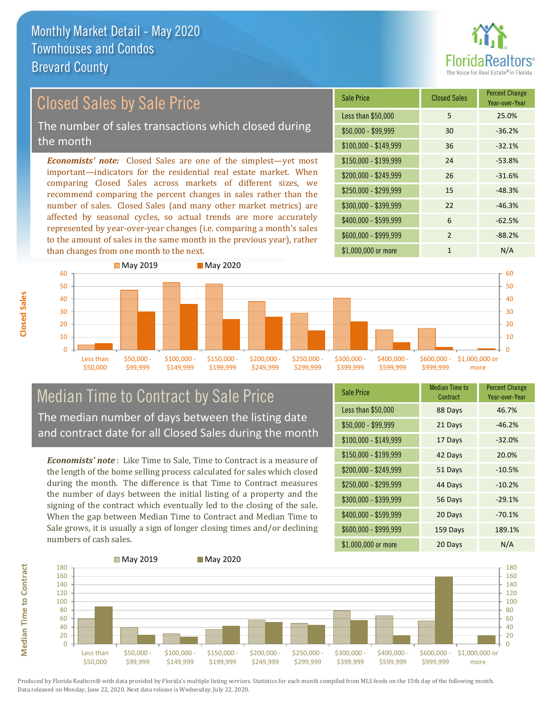

## *Economists' note:* Closed Sales are one of the simplest—yet most Closed Sales by Sale Price The number of sales transactions which closed during the month

important—indicators for the residential real estate market. When comparing Closed Sales across markets of different sizes, we recommend comparing the percent changes in sales rather than the number of sales. Closed Sales (and many other market metrics) are affected by seasonal cycles, so actual trends are more accurately represented by year-over-year changes (i.e. comparing a month's sales to the amount of sales in the same month in the previous year), rather than changes from one month to the next.





## Median Time to Contract by Sale Price The median number of days between the listing date and contract date for all Closed Sales during the month

*Economists' note* : Like Time to Sale, Time to Contract is a measure of the length of the home selling process calculated for sales which closed during the month. The difference is that Time to Contract measures the number of days between the initial listing of a property and the signing of the contract which eventually led to the closing of the sale. When the gap between Median Time to Contract and Median Time to Sale grows, it is usually a sign of longer closing times and/or declining numbers of cash sales.

| <b>Sale Price</b>     | Median Time to<br>Contract | <b>Percent Change</b><br>Year-over-Year |
|-----------------------|----------------------------|-----------------------------------------|
| Less than \$50,000    | 88 Days                    | 46.7%                                   |
| $$50,000 - $99,999$   | 21 Days                    | $-46.2%$                                |
| $$100,000 - $149,999$ | 17 Days                    | $-32.0%$                                |
| $$150,000 - $199,999$ | 42 Days                    | 20.0%                                   |
| \$200,000 - \$249,999 | 51 Days                    | $-10.5%$                                |
| \$250,000 - \$299,999 | 44 Days                    | $-10.2%$                                |
| \$300,000 - \$399,999 | 56 Days                    | $-29.1%$                                |
| \$400,000 - \$599,999 | 20 Days                    | $-70.1%$                                |
| \$600,000 - \$999,999 | 159 Days                   | 189.1%                                  |
| \$1,000,000 or more   | 20 Days                    | N/A                                     |



Produced by Florida Realtors® with data provided by Florida's multiple listing services. Statistics for each month compiled from MLS feeds on the 15th day of the following month. Data released on Monday, June 22, 2020. Next data release is Wednesday, July 22, 2020.

**Median Time to Contract**

**Median Time to Contract**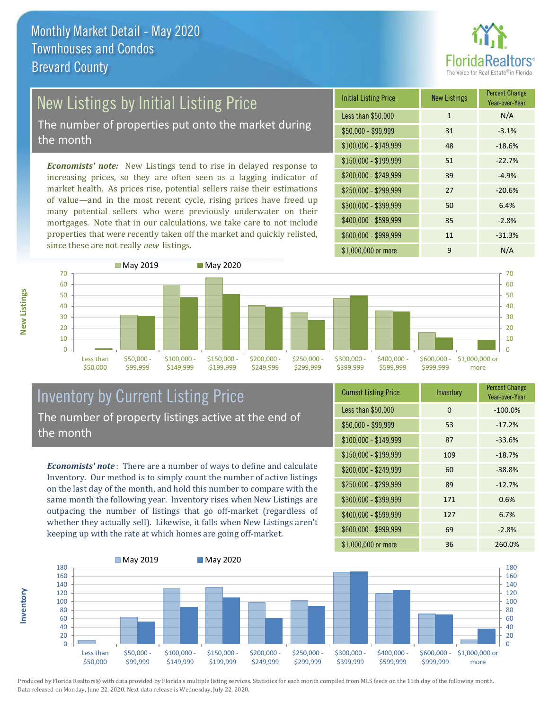

# New Listings by Initial Listing Price

The number of properties put onto the market during the month

*Economists' note:* New Listings tend to rise in delayed response to increasing prices, so they are often seen as a lagging indicator of market health. As prices rise, potential sellers raise their estimations of value—and in the most recent cycle, rising prices have freed up many potential sellers who were previously underwater on their mortgages. Note that in our calculations, we take care to not include properties that were recently taken off the market and quickly relisted, since these are not really *new* listings.





### Inventory by Current Listing Price The number of property listings active at the end of the month

*Economists' note* : There are a number of ways to define and calculate Inventory. Our method is to simply count the number of active listings on the last day of the month, and hold this number to compare with the same month the following year. Inventory rises when New Listings are outpacing the number of listings that go off-market (regardless of whether they actually sell). Likewise, it falls when New Listings aren't keeping up with the rate at which homes are going off-market.

| <b>Current Listing Price</b> | Inventory | <b>Percent Change</b><br>Year-over-Year |
|------------------------------|-----------|-----------------------------------------|
| Less than \$50,000           | $\Omega$  | $-100.0%$                               |
| $$50,000 - $99,999$          | 53        | $-17.2%$                                |
| $$100,000 - $149,999$        | 87        | $-33.6%$                                |
| $$150,000 - $199,999$        | 109       | $-18.7%$                                |
| \$200,000 - \$249,999        | 60        | $-38.8%$                                |
| \$250,000 - \$299,999        | 89        | $-12.7%$                                |
| \$300,000 - \$399,999        | 171       | 0.6%                                    |
| \$400,000 - \$599,999        | 127       | 6.7%                                    |
| \$600,000 - \$999,999        | 69        | $-2.8%$                                 |
| \$1,000,000 or more          | 36        | 260.0%                                  |



Produced by Florida Realtors® with data provided by Florida's multiple listing services. Statistics for each month compiled from MLS feeds on the 15th day of the following month. Data released on Monday, June 22, 2020. Next data release is Wednesday, July 22, 2020.

**Inventory**